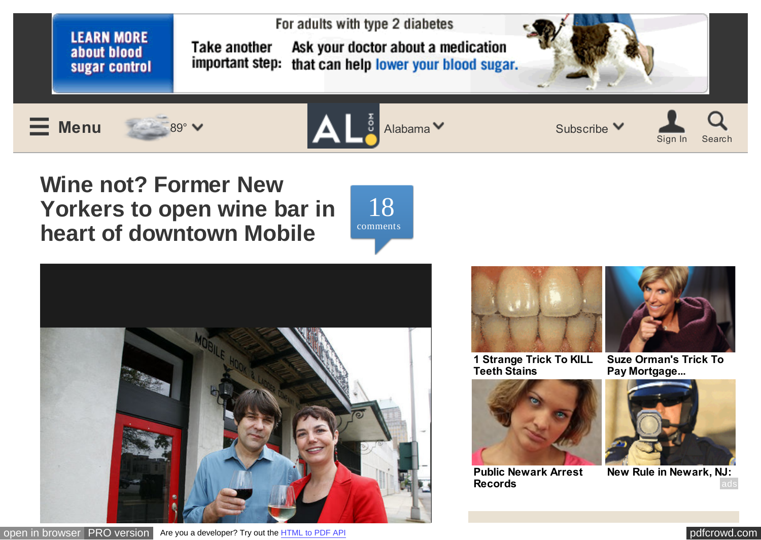

**Wine not? Former New Yorkers to open wine bar in heart of downtown Mobile**











**[1 Strange Trick To KILL](http://trending.revcontent.com/c/adclick.php?ad=cHVibGlzaGVyX2lkPTQ5Mjgmem9uZT0tMSZvZmZzZXQ9MCZhZF9jb3VudD00JnBhZ2VfcmVmZXJyZWQ9aHR0cCUzQSUyRiUyRnd3dy5hbC5jb20lMkZsaXZpbmclMkZpbmRleC5zc2YlMkYyMDE0JTJGMDQlMkZ3aW5lX25vdF9mb3JtZXJfbmV3X3lvcmtlcnNfdG8uaHRtbCZwdWJsaXNoZXJfY2hhbm5lbF9pZHM9MTMzMzYmYWRfc3R5bGU9MzAweDI1MF85JmlzX3NzbD0mc2VtX3VybD1odHRwJTNBJTJGJTJGZW5naW5lLmFkemVyay5uZXQlMkZyJTNGZSUzRGV5SmhkaUk2TmpNMk5Ea3NJbUYwSWpvMUxDSmpiU0k2TVRBNU5USTJMQ0pqYUNJNk1UWTJNVGdzSW1OeUlqb3pNemswT1Rnc0ltUnBJam9pTkRabE1UZzNNemhqWm1JNU5HRmpORGd5TkRZNFlqWm1aakJpWkRReVpHTWlMQ0prYlNJNk1Td2labU1pT2pReE9USTVPQ3dpWm13aU9qSXhNalV4TVN3aWFYQWlPaUkyT1M0eE5qUXVNakU0TGpZeUlpd2libmNpT2prMU5ERXNJbkJqSWpvd0xDSndjaUk2TlRZeE1EUXNJbkowSWpvekxDSnpkQ0k2TmpBeE5qWXNJblZySWpvaWRXVXhMVE0zTm1KaU9EazVNakkxTWpSa1lqRmhZVGs0WVRGalpHWTRaREUyTjJVM0lpd2lkSE1pT2pFME1EY3dNVEEwTVRFNE1UTXNJblZ5SWpwdWRXeHNmUSUyNmFtcCUzQnMlM0RVY1hpdDVxa1ZzSXU5WVVxV0FNdE8xMjhVbU0lMjZhbXAlM0J1cmwlM0QmY2l0eT1OZXdhcmsmc3RhdGU9TkomY291bnRyeT1Vbml0ZWQrU3RhdGVzJnBuYW1lPU5ld3Mmc291cmNlPXd3dy5kaWdpdGFsbmV3cy5jb20mdXNlcl9pcD02OS4xNjQuMjE4LjYyJmN4dV9pZD0wJmN4dWtfaWQ9MCZpc19ob3VzZT0wJmFkdmVydGlzZXJfaWQ9NDc0NyZjYW1wYWlnbl9pZD03OTUyJmNsaWNrX2NwYz0wLjM1JnJhbms9MSZjbGlja19pZD03YTEyNzZmZmU0NGI1ZmExM2FiM2U2NWNlY2JmYTBmOCZ1cmw9aHR0cHMlM0ElMkYlMkZ3d3cud2ViLXRyYWNrZXI5LmNvbSUyRmJhc2UucGhwJTNGYyUzRDI1JTI2YW1wJTNCa2V5JTNENjY3NzY5YWZlMjk5MjE2YjhkYTAwZjEyZTQ4MWFmYjAmZGF0ZXN0YW1wPTIwMTQtMDgtMDIrMTYlM0EwOCUzQTI5JmFjdHVhbF9jcGM9MC4zNSZ3ZWlnaHRlZF9jdHI9MC4xNTA0NDgzMjI2MTcyNDM1MyZ3aWRnZXRfaWQ9JnJlbGF0ZWRfY29udGVudF9pZD0=;f1b2725b5de8bdd882892ffe4887fe34) Teeth Stains**



**[Public Newark Arrest](http://trending.revcontent.com/c/adclick.php?ad=cHVibGlzaGVyX2lkPTQ5Mjgmem9uZT0tMSZvZmZzZXQ9MCZhZF9jb3VudD00JnBhZ2VfcmVmZXJyZWQ9aHR0cCUzQSUyRiUyRnd3dy5hbC5jb20lMkZsaXZpbmclMkZpbmRleC5zc2YlMkYyMDE0JTJGMDQlMkZ3aW5lX25vdF9mb3JtZXJfbmV3X3lvcmtlcnNfdG8uaHRtbCZwdWJsaXNoZXJfY2hhbm5lbF9pZHM9MTMzMzYmYWRfc3R5bGU9MzAweDI1MF85JmlzX3NzbD0mc2VtX3VybD1odHRwJTNBJTJGJTJGZW5naW5lLmFkemVyay5uZXQlMkZyJTNGZSUzRGV5SmhkaUk2TmpNMk5Ea3NJbUYwSWpvMUxDSmpiU0k2TVRBNU5USTJMQ0pqYUNJNk1UWTJNVGdzSW1OeUlqb3pNemswT1Rnc0ltUnBJam9pTkRabE1UZzNNemhqWm1JNU5HRmpORGd5TkRZNFlqWm1aakJpWkRReVpHTWlMQ0prYlNJNk1Td2labU1pT2pReE9USTVPQ3dpWm13aU9qSXhNalV4TVN3aWFYQWlPaUkyT1M0eE5qUXVNakU0TGpZeUlpd2libmNpT2prMU5ERXNJbkJqSWpvd0xDSndjaUk2TlRZeE1EUXNJbkowSWpvekxDSnpkQ0k2TmpBeE5qWXNJblZySWpvaWRXVXhMVE0zTm1KaU9EazVNakkxTWpSa1lqRmhZVGs0WVRGalpHWTRaREUyTjJVM0lpd2lkSE1pT2pFME1EY3dNVEEwTVRFNE1UTXNJblZ5SWpwdWRXeHNmUSUyNmFtcCUzQnMlM0RVY1hpdDVxa1ZzSXU5WVVxV0FNdE8xMjhVbU0lMjZhbXAlM0J1cmwlM0QmY2l0eT1OZXdhcmsmc3RhdGU9TkomY291bnRyeT1Vbml0ZWQrU3RhdGVzJnBuYW1lPU5ld3Mmc291cmNlPXd3dy5kaWdpdGFsbmV3cy5jb20mdXNlcl9pcD02OS4xNjQuMjE4LjYyJmN4dV9pZD0wJmN4dWtfaWQ9MCZpc19ob3VzZT0wJmFkdmVydGlzZXJfaWQ9NDYwMCZjYW1wYWlnbl9pZD01ODU2JmNsaWNrX2NwYz0wLjImcmFuaz0zJmNsaWNrX2lkPTViMDY5ZGE1MmYyZDNlNjFhMTJjNTNkZjA0NGZlOTVmJnVybD1odHRwJTNBJTJGJTJGdGNndHJrci5jb20lMkYlM0ZhJTNEODclMjZhbXAlM0JvYyUzRDElMjZhbXAlM0JjJTNEMSUyNmFtcCUzQnMxJTNEVGV4dCUyNmFtcCUzQnMyJTNEVEJPcmcmZGF0ZXN0YW1wPTIwMTQtMDgtMDIrMTYlM0EwOCUzQTI5JmFjdHVhbF9jcGM9MC4yJndlaWdodGVkX2N0cj0wLjI1NDg0MjAwNTc0OTQ3MTYzJndpZGdldF9pZD0mcmVsYXRlZF9jb250ZW50X2lkPQ==;4b7bc112b6e480cd0464e1e755f6fe17) Records**

**[Suze Orman's Trick To](http://trending.revcontent.com/c/adclick.php?ad=cHVibGlzaGVyX2lkPTQ5Mjgmem9uZT0tMSZvZmZzZXQ9MCZhZF9jb3VudD00JnBhZ2VfcmVmZXJyZWQ9aHR0cCUzQSUyRiUyRnd3dy5hbC5jb20lMkZsaXZpbmclMkZpbmRleC5zc2YlMkYyMDE0JTJGMDQlMkZ3aW5lX25vdF9mb3JtZXJfbmV3X3lvcmtlcnNfdG8uaHRtbCZwdWJsaXNoZXJfY2hhbm5lbF9pZHM9MTMzMzYmYWRfc3R5bGU9MzAweDI1MF85JmlzX3NzbD0mc2VtX3VybD1odHRwJTNBJTJGJTJGZW5naW5lLmFkemVyay5uZXQlMkZyJTNGZSUzRGV5SmhkaUk2TmpNMk5Ea3NJbUYwSWpvMUxDSmpiU0k2TVRBNU5USTJMQ0pqYUNJNk1UWTJNVGdzSW1OeUlqb3pNemswT1Rnc0ltUnBJam9pTkRabE1UZzNNemhqWm1JNU5HRmpORGd5TkRZNFlqWm1aakJpWkRReVpHTWlMQ0prYlNJNk1Td2labU1pT2pReE9USTVPQ3dpWm13aU9qSXhNalV4TVN3aWFYQWlPaUkyT1M0eE5qUXVNakU0TGpZeUlpd2libmNpT2prMU5ERXNJbkJqSWpvd0xDSndjaUk2TlRZeE1EUXNJbkowSWpvekxDSnpkQ0k2TmpBeE5qWXNJblZySWpvaWRXVXhMVE0zTm1KaU9EazVNakkxTWpSa1lqRmhZVGs0WVRGalpHWTRaREUyTjJVM0lpd2lkSE1pT2pFME1EY3dNVEEwTVRFNE1UTXNJblZ5SWpwdWRXeHNmUSUyNmFtcCUzQnMlM0RVY1hpdDVxa1ZzSXU5WVVxV0FNdE8xMjhVbU0lMjZhbXAlM0J1cmwlM0QmY2l0eT1OZXdhcmsmc3RhdGU9TkomY291bnRyeT1Vbml0ZWQrU3RhdGVzJnBuYW1lPU5ld3Mmc291cmNlPXd3dy5kaWdpdGFsbmV3cy5jb20mdXNlcl9pcD02OS4xNjQuMjE4LjYyJmN4dV9pZD0wJmN4dWtfaWQ9MCZpc19ob3VzZT0wJmFkdmVydGlzZXJfaWQ9NTc5NSZjYW1wYWlnbl9pZD0xNTAxNyZjbGlja19jcGM9MC42JnJhbms9MiZjbGlja19pZD1kZTZhYjFkZGM1YWY2ZjQ5NzUwMTljZGE3YjY4YjE0MiZ1cmw9aHR0cCUzQSUyRiUyRnNtYXJ0bGlmZXN0eWxldHJlbmRzLmNvbSUyRmolMkZsaXR0bGUta25vd24tbW9ydGdhZ2UuaHRtbCUzRnQyMDJpZCUzRDQxNjYlMjZhbXAlM0J0MjAya3clM0QmZGF0ZXN0YW1wPTIwMTQtMDgtMDIrMTYlM0EwOCUzQTI5JmFjdHVhbF9jcGM9MC42JndlaWdodGVkX2N0cj0wLjA4NzQ2ODk1OTc4NDQ4MzgyJndpZGdldF9pZD0mcmVsYXRlZF9jb250ZW50X2lkPQ==;bcd227902250d628643186e6a3eb25b0) Pay Mortgage...**



**[New Rule in Newark, NJ:](http://trending.revcontent.com/c/adclick.php?ad=cHVibGlzaGVyX2lkPTQ5Mjgmem9uZT0tMSZvZmZzZXQ9MCZhZF9jb3VudD00JnBhZ2VfcmVmZXJyZWQ9aHR0cCUzQSUyRiUyRnd3dy5hbC5jb20lMkZsaXZpbmclMkZpbmRleC5zc2YlMkYyMDE0JTJGMDQlMkZ3aW5lX25vdF9mb3JtZXJfbmV3X3lvcmtlcnNfdG8uaHRtbCZwdWJsaXNoZXJfY2hhbm5lbF9pZHM9MTMzMzYmYWRfc3R5bGU9MzAweDI1MF85JmlzX3NzbD0mc2VtX3VybD1odHRwJTNBJTJGJTJGZW5naW5lLmFkemVyay5uZXQlMkZyJTNGZSUzRGV5SmhkaUk2TmpNMk5Ea3NJbUYwSWpvMUxDSmpiU0k2TVRBNU5USTJMQ0pqYUNJNk1UWTJNVGdzSW1OeUlqb3pNemswT1Rnc0ltUnBJam9pTkRabE1UZzNNemhqWm1JNU5HRmpORGd5TkRZNFlqWm1aakJpWkRReVpHTWlMQ0prYlNJNk1Td2labU1pT2pReE9USTVPQ3dpWm13aU9qSXhNalV4TVN3aWFYQWlPaUkyT1M0eE5qUXVNakU0TGpZeUlpd2libmNpT2prMU5ERXNJbkJqSWpvd0xDSndjaUk2TlRZeE1EUXNJbkowSWpvekxDSnpkQ0k2TmpBeE5qWXNJblZySWpvaWRXVXhMVE0zTm1KaU9EazVNakkxTWpSa1lqRmhZVGs0WVRGalpHWTRaREUyTjJVM0lpd2lkSE1pT2pFME1EY3dNVEEwTVRFNE1UTXNJblZ5SWpwdWRXeHNmUSUyNmFtcCUzQnMlM0RVY1hpdDVxa1ZzSXU5WVVxV0FNdE8xMjhVbU0lMjZhbXAlM0J1cmwlM0QmY2l0eT1OZXdhcmsmc3RhdGU9TkomY291bnRyeT1Vbml0ZWQrU3RhdGVzJnBuYW1lPU5ld3Mmc291cmNlPXd3dy5kaWdpdGFsbmV3cy5jb20mdXNlcl9pcD02OS4xNjQuMjE4LjYyJmN4dV9pZD0wJmN4dWtfaWQ9MCZpc19ob3VzZT0wJmFkdmVydGlzZXJfaWQ9MzcxNCZjYW1wYWlnbl9pZD0xMjQyMSZjbGlja19jcGM9MC4zNSZyYW5rPTQmY2xpY2tfaWQ9MzJjYzA1ZGM4MGIxZmM4Yzc5ZDUyYWEyNDEzNWY0ZjgmdXJsPWh0dHAlM0ElMkYlMkZ3d3cuc21hcnRsaWZld2Vla2x5LmNvbSUyRmZpbmFuY2UlMkZpbnN1cmFuY2UtY29tcGFuaWVzLWhhdGUtdGhpcy1pbnNpZGVyLXRyaWNrLXF1YWxpZmllcy1zYWZlLWRyaXZlcnMtZm9yLTktd2Vlay1yYXRlcyUzRnQyMDJpZCUzRDY0MzMyJTI2YW1wJTNCYzElM0RjcHdyZHIlMjZhbXAlM0JjMiUzRHRzMnklMjZhbXAlM0J0MjAya3clM0QlMjZsdCUzQnNvdXJjZSUyNmd0JTNCJmRhdGVzdGFtcD0yMDE0LTA4LTAyKzE2JTNBMDglM0EyOSZhY3R1YWxfY3BjPTAuMzUmd2VpZ2h0ZWRfY3RyPTAuMTM1NzQwNzk1ODAzMjI1NzMmd2lkZ2V0X2lkPSZyZWxhdGVkX2NvbnRlbnRfaWQ9;02ca3939ce8d5c42a08f655deeefa5bf)**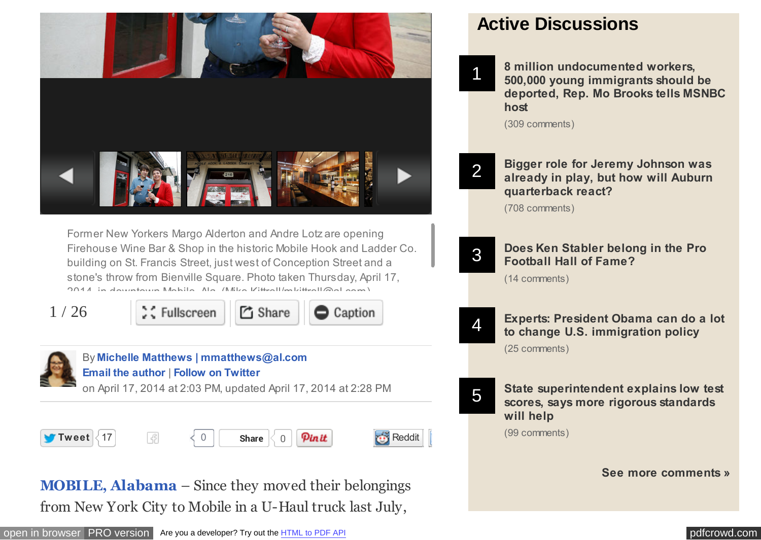

Former New Yorkers Margo Alderton and Andre Lotz are opening Firehouse Wine Bar & Shop in the historic Mobile Hook and Ladder Co. building on St. Francis Street, just west of Conception Street and a stone's throw from Bienville Square. Photo taken Thursday, April 17, 2014, in downtown Mobile, Ala. (Mike Kittrell/mkittrell@al.com)

门 Share



# C Fullscreen



#### By **[Michelle Matthews | mmatthews@al.com](http://connect.al.com/staff/michellerobertsmatthews/posts.html)  Email the author** | **[Follow on Twitter](https://twitter.com/Michelle_Mobile)**

on April 17, 2014 at 2:03 PM, updated April 17, 2014 at 2:28 PM



 $\bm{\mathsf{Twoet}}\left|\left\{ \left. 17\right|\right.\left.\right.\right.\right.}$  $\bm{\mathsf{Twoet}}\left|\left\{ \left. 17\right|\right.\left.\right.\right.\right.}$  $\bm{\mathsf{Twoet}}\left|\left\{ \left. 17\right|\right.\left.\right.\right.\right.}$   $\left|\left.\left.\right|\right.\right.$   $\left|\left.\right|\right.$   $\bm{\mathsf{Onit}}$  **Share**  $\left|\left.\right|\right.$   $\bm{\mathsf{Onit}}$  **Pin if**  $\left|\left.\right|\right.$   $\left|\left.\right|\right.$   $\bm{\mathsf{C}}$  Reddit  $\left|\left.\right|\right.$ **Like** 0

Caption

# **Active Discussions**

**8 million undocumented workers, 500,000 young immigrants should be [deported, Rep. Mo Brooks tells MSNBC](http://www.al.com/news/huntsville/index.ssf/2014/08/8_million_undocumented_workers.html#incart_most-comments) host**

(309 comments)

2

1

**Bigger role for Jeremy Johnson was [already in play, but how will Auburn](http://www.al.com/auburnfootball/index.ssf/2014/08/bigger_role_for_jeremy_johnson.html#incart_most-comments) quarterback react?**

(708 comments)

# 3

**[Does Ken Stabler belong in the Pro](http://www.al.com/sports/index.ssf/2014/08/does_ken_stabler_belong_in_the.html#incart_most-comments) Football Hall of Fame?**

(14 comments)

# 4

5

**[Experts: President Obama can do a lot](http://www.al.com/news/index.ssf/2014/08/experts_president_obama_can_do.html#incart_most-comments) to change U.S. immigration policy**

(25 comments)

**[State superintendent explains low test](http://www.al.com/news/index.ssf/2014/07/state_superintendent_explains.html#incart_most-comments) scores, says more rigorous standards will help**

(99 comments)

**[See more comments »](http://www.al.com/interact/)**

**[MOBILE, Alabama](http://www.al.com/mobile/#/0)** – Since they moved their belongings from New York City to Mobile in a U-Haul truck last July,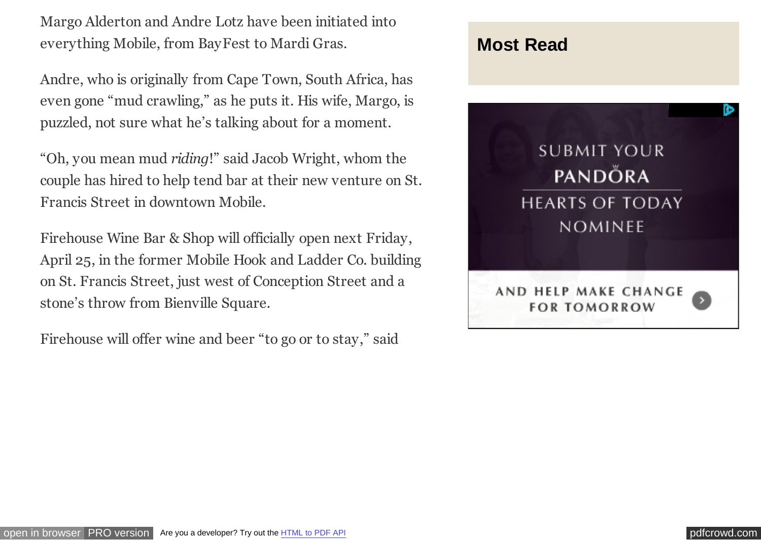Margo Alderton and Andre Lotz have been initiated into everything Mobile, from BayFest to Mardi Gras.

Andre, who is originally from Cape Town, South Africa, has even gone "mud crawling," as he puts it. His wife, Margo, is puzzled, not sure what he's talking about for a moment.

"Oh, you mean mud *riding*!" said Jacob Wright, whom the couple has hired to help tend bar at their new venture on St. Francis Street in downtown Mobile.

Firehouse Wine Bar & Shop will officially open next Friday, April 25, in the former Mobile Hook and Ladder Co. building on St. Francis Street, just west of Conception Street and a stone's throw from Bienville Square.

Firehouse will offer wine and beer "to go or to stay," said

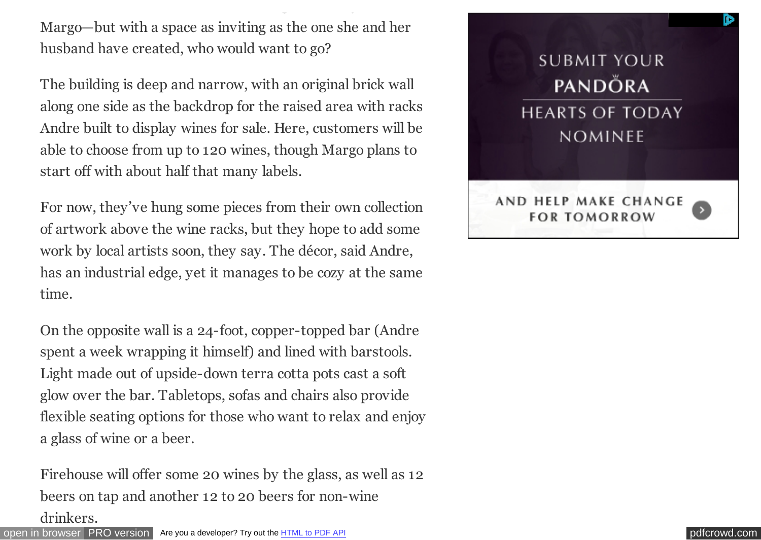Margo—but with a space as inviting as the one she and her husband have created, who would want to go?

First wine and between  $\mathcal{F}_{\mathcal{F}}$  wine and between  $\mathcal{F}_{\mathcal{F}}$  to stay,  $\mathcal{F}_{\mathcal{F}}$  said,  $\mathcal{F}_{\mathcal{F}}$ 

The building is deep and narrow, with an original brick wall along one side as the backdrop for the raised area with racks Andre built to display wines for sale. Here, customers will be able to choose from up to 120 wines, though Margo plans to start off with about half that many labels.

For now, they've hung some pieces from their own collection of artwork above the wine racks, but they hope to add some work by local artists soon, they say. The décor, said Andre, has an industrial edge, yet it manages to be cozy at the same time.

On the opposite wall is a 24-foot, copper-topped bar (Andre spent a week wrapping it himself) and lined with barstools. Light made out of upside-down terra cotta pots cast a soft glow over the bar. Tabletops, sofas and chairs also provide flexible seating options for those who want to relax and enjoy a glass of wine or a beer.

Firehouse will offer some 20 wines by the glass, as well as 12 beers on tap and another 12 to 20 beers for non-wine drinkers.

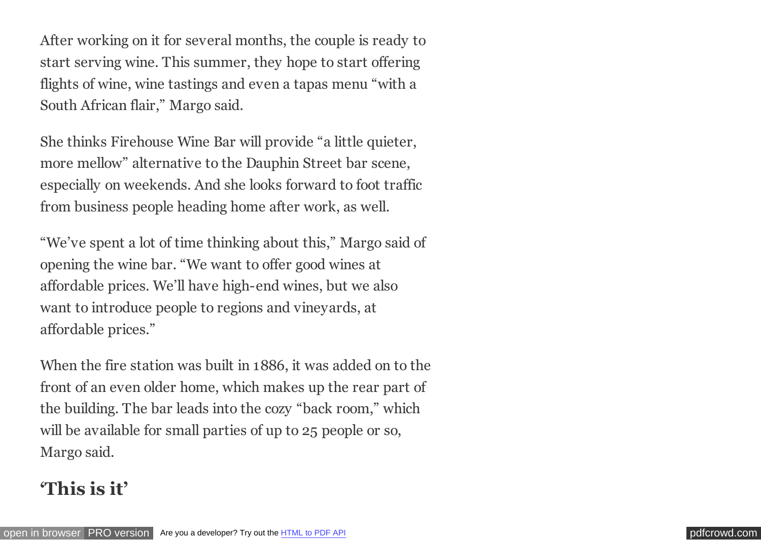After working on it for several months, the couple is ready to start serving wine. This summer, they hope to start offering flights of wine, wine tastings and even a tapas menu "with a South African flair," Margo said.

She thinks Firehouse Wine Bar will provide "a little quieter, more mellow" alternative to the Dauphin Street bar scene, especially on weekends. And she looks forward to foot traffic from business people heading home after work, as well.

"We've spent a lot of time thinking about this," Margo said of opening the wine bar. "We want to offer good wines at affordable prices. We'll have high-end wines, but we also want to introduce people to regions and vineyards, at affordable prices."

When the fire station was built in 1886, it was added on to the front of an even older home, which makes up the rear part of the building. The bar leads into the cozy "back room," which will be available for small parties of up to 25 people or so, Margo said.

# **'This is it'**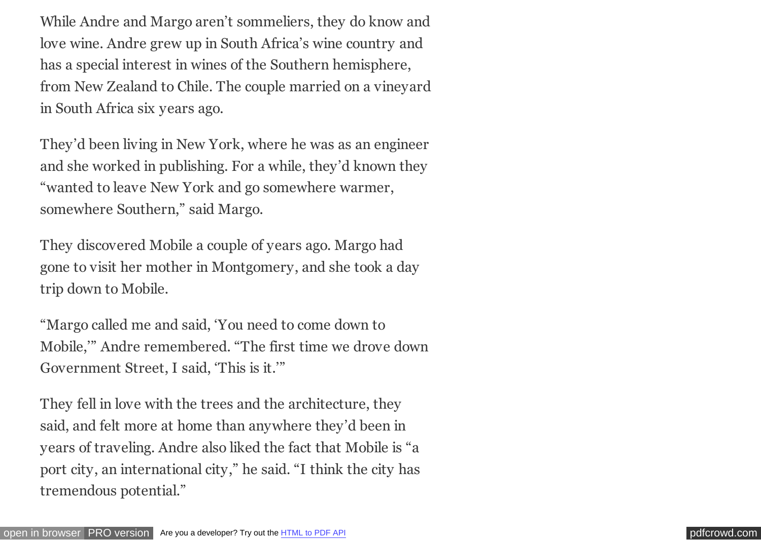While Andre and Margo aren't sommeliers, they do know and love wine. Andre grew up in South Africa's wine country and has a special interest in wines of the Southern hemisphere, from New Zealand to Chile. The couple married on a vineyard in South Africa six years ago.

They'd been living in New York, where he was as an engineer and she worked in publishing. For a while, they'd known they "wanted to leave New York and go somewhere warmer, somewhere Southern," said Margo.

They discovered Mobile a couple of years ago. Margo had gone to visit her mother in Montgomery, and she took a day trip down to Mobile.

"Margo called me and said, 'You need to come down to Mobile,'" Andre remembered. "The first time we drove down Government Street, I said, 'This is it.'"

They fell in love with the trees and the architecture, they said, and felt more at home than anywhere they'd been in years of traveling. Andre also liked the fact that Mobile is "a port city, an international city," he said. "I think the city has tremendous potential."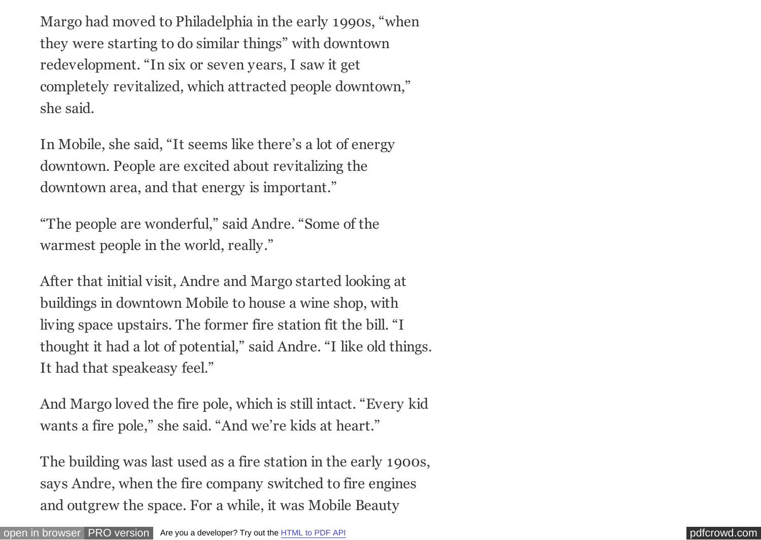Margo had moved to Philadelphia in the early 1990s, "when they were starting to do similar things" with downtown redevelopment. "In six or seven years, I saw it get completely revitalized, which attracted people downtown," she said.

In Mobile, she said, "It seems like there's a lot of energy downtown. People are excited about revitalizing the downtown area, and that energy is important."

"The people are wonderful," said Andre. "Some of the warmest people in the world, really."

After that initial visit, Andre and Margo started looking at buildings in downtown Mobile to house a wine shop, with living space upstairs. The former fire station fit the bill. "I thought it had a lot of potential," said Andre. "I like old things. It had that speakeasy feel."

And Margo loved the fire pole, which is still intact. "Every kid wants a fire pole," she said. "And we're kids at heart."

The building was last used as a fire station in the early 1900s, says Andre, when the fire company switched to fire engines and outgrew the space. For a while, it was Mobile Beauty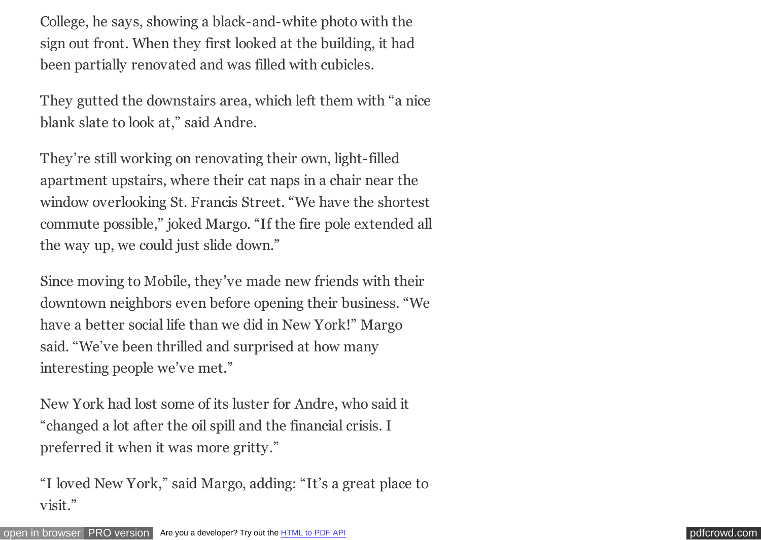College, he says, showing a black-and-white photo with the sign out front. When they first looked at the building, it had been partially renovated and was filled with cubicles.

They gutted the downstairs area, which left them with "a nice blank slate to look at," said Andre.

They're still working on renovating their own, light-filled apartment upstairs, where their cat naps in a chair near the window overlooking St. Francis Street. "We have the shortest commute possible," joked Margo. "If the fire pole extended all the way up, we could just slide down."

Since moving to Mobile, they've made new friends with their downtown neighbors even before opening their business. "We have a better social life than we did in New York!" Margo said. "We've been thrilled and surprised at how many interesting people we've met."

New York had lost some of its luster for Andre, who said it "changed a lot after the oil spill and the financial crisis. I preferred it when it was more gritty."

"I loved New York," said Margo, adding: "It's a great place to visit."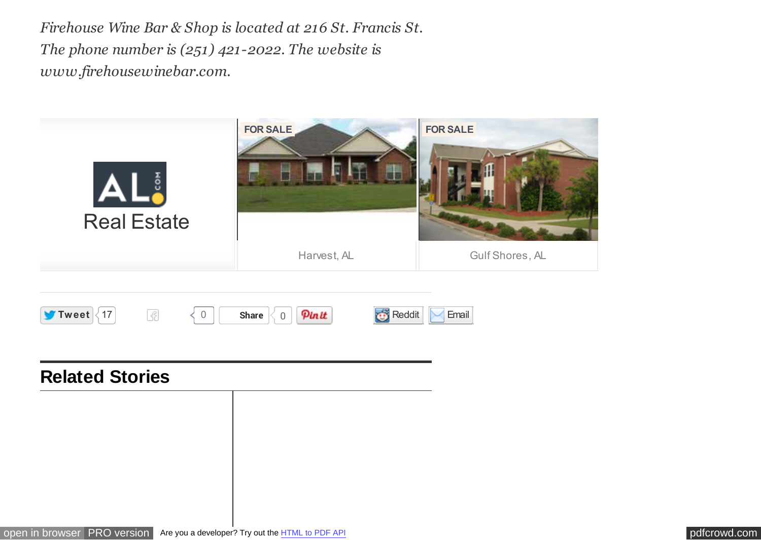*Firehouse Wine Bar & Shop is located at 216 St. Francis St. The phone number is (251) 421-2022. The website is www.firehousewinebar.com.*



# **Related Stories**

[open in browser](http://pdfcrowd.com/redirect/?url=http%3a%2f%2fwww.al.com%2fliving%2findex.ssf%2f2014%2f04%2fwine_not_former_new_yorkers_to.html&id=ma-140802160850-1a6ee08a) [PRO version](http://pdfcrowd.com/customize/) Are you a developer? Try out th[e HTML to PDF API](http://pdfcrowd.com/html-to-pdf-api/?ref=pdf) [pdfcrowd.com](http://pdfcrowd.com)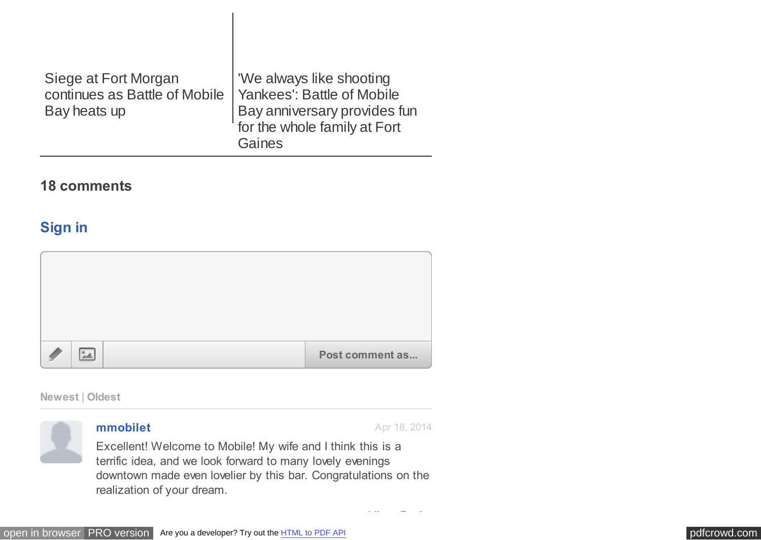<span id="page-9-0"></span>

| Siege at Fort Morgan          | 'We always like shooting                                     |
|-------------------------------|--------------------------------------------------------------|
| continues as Battle of Mobile | Yankees': Battle of Mobile                                   |
| Bay heats up                  | Bay anniversary provides fun<br>for the whole family at Fort |
|                               | Gaines                                                       |

## **18 comments**

## **Sign in**

|  | Post comment as |
|--|-----------------|

**Newest** | **Oldest**



### **mmobilet**

Apr 18, 2014

**Like Reply**

Excellent! Welcome to Mobile! My wife and I think this is a terrific idea, and we look forward to many lovely evenings downtown made even lovelier by this bar. Congratulations on the realization of your dream.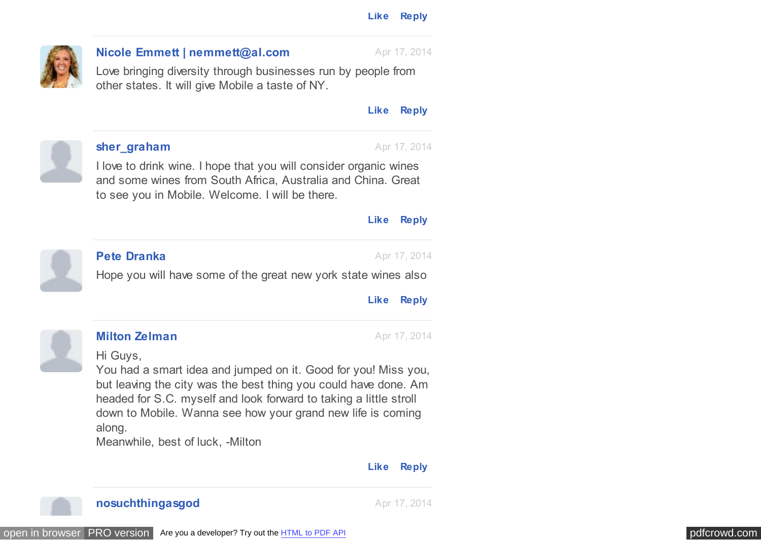

#### **[Nicole Emmett | nemmett@al.com](http://connect.al.com/user/nemmett/index.html)**

Apr 17, 2014

Love bringing diversity through businesses run by people from other states. It will give Mobile a taste of NY.

#### **Like Reply**

#### Apr 17, 2014

I love to drink wine. I hope that you will consider organic wines and some wines from South Africa, Australia and China. Great to see you in Mobile. Welcome. I will be there.

#### **Like Reply**



#### **[Pete Dranka](http://connect.al.com/user/pete_dranka/index.html)**

**sher\_graham**

Apr 17, 2014

Hope you will have some of the great new york state wines also

#### **Like Reply**



#### **[Milton Zelman](http://connect.al.com/user/milton_zelman/index.html)**

Apr 17, 2014

#### Hi Guys,

You had a smart idea and jumped on it. Good for you! Miss you, but leaving the city was the best thing you could have done. Am headed for S.C. myself and look forward to taking a little stroll down to Mobile. Wanna see how your grand new life is coming along.

Meanwhile, best of luck, -Milton

#### **Like Reply**



**nosuchthingasgod**

Apr 17, 2014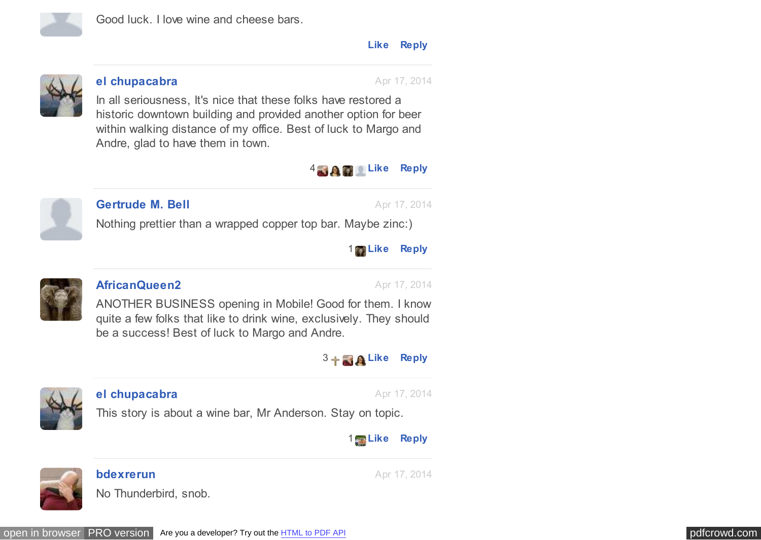

Good luck. I love wine and cheese bars.

#### **Like Reply**



#### **[el chupacabra](http://connect.al.com/user/miller4au/index.html)**

Apr 17, 2014

In all seriousness, It's nice that these folks have restored a historic downtown building and provided another option for beer within walking distance of my office. Best of luck to Margo and Andre, glad to have them in town.

#### 4 **Like Reply**



#### **[Gertrude M. Bell](http://connect.al.com/user/gertrude_m._bell/index.html)**

Apr 17, 2014

Nothing prettier than a wrapped copper top bar. Maybe zinc:)

1 **Like Reply**



#### **[AfricanQueen2](http://connect.al.com/user/AfricanQueen2/index.html)**

Apr 17, 2014

ANOTHER BUSINESS opening in Mobile! Good for them. I know quite a few folks that like to drink wine, exclusively. They should be a success! Best of luck to Margo and Andre.

### 3 **Like Reply**



#### **[el chupacabra](http://connect.al.com/user/miller4au/index.html)**

Apr 17, 2014

Apr 17, 2014

This story is about a wine bar, Mr Anderson. Stay on topic.





**[bdexrerun](http://connect.al.com/user/bdexrerun/index.html)**

No Thunderbird, snob.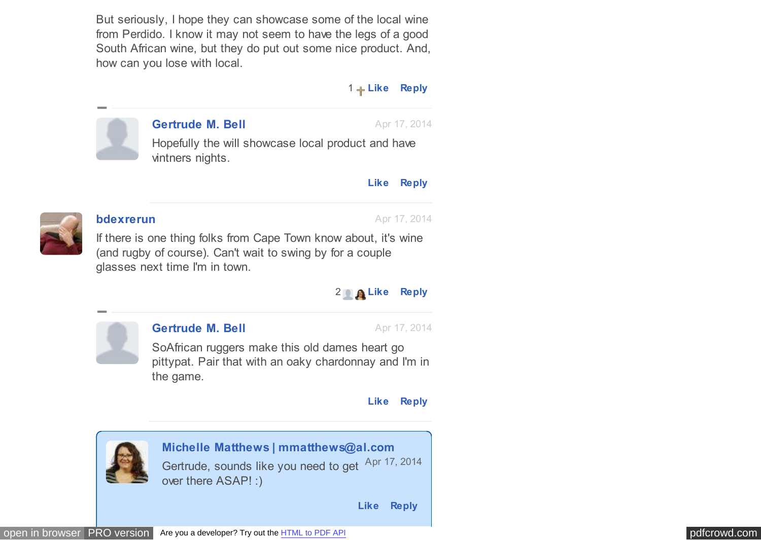But seriously, I hope they can showcase some of the local wine from Perdido. I know it may not seem to have the legs of a good South African wine, but they do put out some nice product. And, how can you lose with local.

#### 1 **Like Reply**



#### **[Gertrude M. Bell](http://connect.al.com/user/gertrude_m._bell/index.html)** Apr 17, 2014

Hopefully the will showcase local product and have vintners nights.

#### **Like Reply**

**[bdexrerun](http://connect.al.com/user/bdexrerun/index.html)** Apr 17, 2014



If there is one thing folks from Cape Town know about, it's wine (and rugby of course). Can't wait to swing by for a couple glasses next time I'm in town.

### 2 **Like Reply**



#### **[Gertrude M. Bell](http://connect.al.com/user/gertrude_m._bell/index.html)**

Apr 17, 2014

SoAfrican ruggers make this old dames heart go pittypat. Pair that with an oaky chardonnay and I'm in the game.

**Like Reply**



Gertrude, sounds like you need to get Apr 17, 2014 **[Michelle Matthews | mmatthews@al.com](http://connect.al.com/user/michellerobertsmatthews/index.html)** over there ASAP! :)

**Like Reply**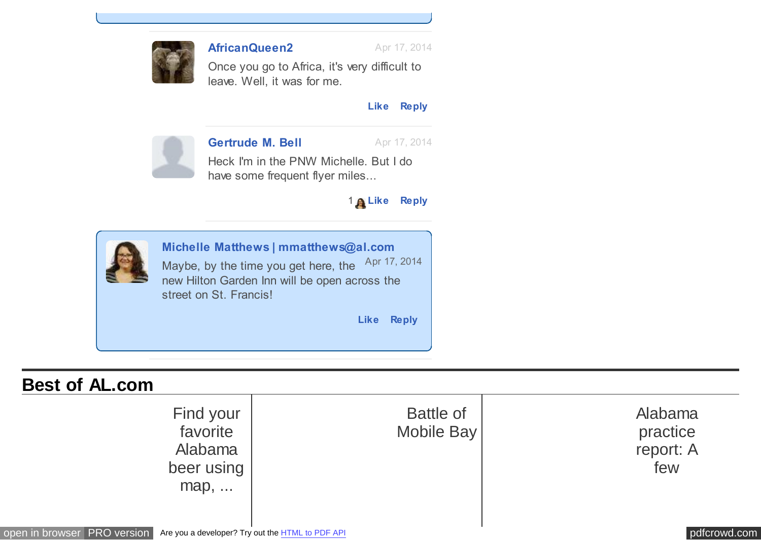

**[AfricanQueen2](http://connect.al.com/user/AfricanQueen2/index.html)**

Apr 17, 2014

Once you go to Africa, it's very difficult to leave. Well, it was for me.

#### **Like Reply**



Apr 17, 2014 **[Gertrude M. Bell](http://connect.al.com/user/gertrude_m._bell/index.html)** Heck I'm in the PNW Michelle. But I do have some frequent flyer miles...





Apr 17, 2014 **[Michelle Matthews | mmatthews@al.com](http://connect.al.com/user/michellerobertsmatthews/index.html)** Maybe, by the time you get here, the new Hilton Garden Inn will be open across the street on St. Francis!

**Like Reply**

# **Best of AL.com**

| Find your<br>favorite<br>Alabama<br>beer using<br>map, | Battle of<br>Mobile Bay                          | <b>Alabama</b><br>practice<br>report: A<br>few |
|--------------------------------------------------------|--------------------------------------------------|------------------------------------------------|
| open in browser PRO version                            | Are you a developer? Try out the HTML to PDF API | pdfcrowd.com                                   |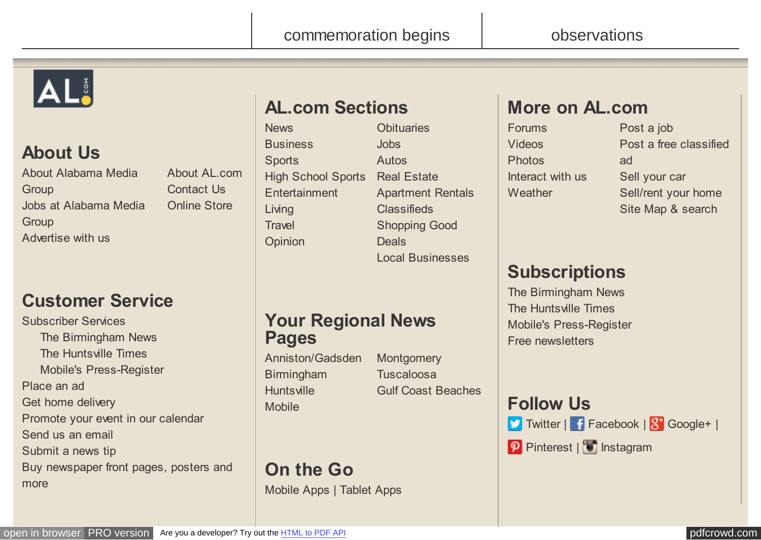## [commemoration begins](http://www.al.com/news/mobile/index.ssf/2014/08/battle_of_mobile_bay_commemora_1.html#incart_hbx%23incart_best-of) and the [observations](http://www.al.com/alabamafootball/index.ssf/2014/08/alabama_practice_report_a_few.html#incart_hbx%23incart_best-of)



# **About Us**

[About Alabama Media](http://www.alabamamediagroup.com/) **Group** [Jobs at Alabama Media](http://jobs.al.com/careers/company/detail/id/840717/page/jobs) **Group** [Advertise with us](http://www.alabamamediagroup.com/services/)

# **Customer Service**

[Subscriber Services](http://www.alabamamediagroup.com/subscriber-services/) [The Birmingham News](https://member.al.com/Index.aspx?siteCode=BN) [The Huntsville Times](https://member.al.com/Index.aspx?siteCode=HT) [Mobile's Press-Register](http://www.alabamamediagroup.com/press-register-subscriber-services/) [Place an ad](http://www.al.com/placead/) [Get home delivery](https://member.al.com/) [Promote your event in our calendar](http://myevent.al.com/web/event.php) [Send us an email](http://www.alabamamediagroup.com/contact/) [Submit a news tip](http://www.al.com/connect/) [Buy newspaper front pages, posters and](https://alonlinestore.com/) more

# **AL.com Sections**

[News](http://www.al.com/news/) **[Business](http://www.al.com/business/) [Sports](http://www.al.com/sports/)** [High School Sports](http://highschoolsports.al.com/) **[Entertainment](http://www.al.com/entertainment/)** [Living](http://www.al.com/living/) **[Travel](http://www.al.com/travel/) [Opinion](http://www.al.com/opinion/)** 

[About AL.com](http://www.al.com/aboutus/)

[Contact Us](http://www.al.com/contactus/) [Online Store](https://alonlinestore.com/)

**[Obituaries](http://www.al.com/deathnotices/)** [Jobs](http://www.al.com/jobs/) [Autos](http://autos.al.com/) [Real Estate](http://realestate.al.com/) [Apartment Rentals](http://realestate.al.com/for-rent) **[Classifieds](http://classifieds.al.com/)** [Shopping Good](http://www.al.com/shopping/) **Deals** [Local Businesses](http://businessfinder.al.com/)

# **Your Regional News Pages**

[Anniston/Gadsden](http://www.al.com/anniston-gadsden/) [Birmingham](http://www.al.com/birmingham/) **[Huntsville](http://www.al.com/huntsville/)** [Mobile](http://www.al.com/mobile/)

**[Montgomery](http://www.al.com/montgomery/)** [Tuscaloosa](http://www.al.com/tuscaloosa/) [Gulf Coast Beaches](http://www.al.com/beaches/)

# **On the Go** [Mobile Apps](http://www.al.com/mobile-device/) | [Tablet Apps](http://www.al.com/mobile-device/)

# **More on AL.com**

[Forums](http://www.al.com/forums/) [Videos](http://videos.al.com/) [Photos](http://photos.al.com/photogallery/) [Interact with us](http://www.al.com/interact/) **[Weather](http://www.al.com/weather/)** 

[Post a job](http://www.al.com/jobs/) [Post a free classified](http://www.al.com/classifieds/free/) ad [Sell your car](http://www.al.com/placead/) [Sell/rent your home](http://www.al.com/placead/) [Site Map & search](http://search.al.com/)

# **Subscriptions**

[The Birmingham News](https://member.al.com/dssSubscribe.aspx?siteCode=BN) [The Huntsville Times](https://member.al.com/dssSubscribe.aspx?siteCode=HT) [Mobile's Press-Register](https://subscribe.acsal.com/Mobile/) [Free newsletters](http://www.al.com/newsletters/)

# **Follow Us**



**P** [Pinterest](http://pinterest.com/aldotcom/) | **D** [Instagram](http://instagram.com/aldotcompix/)